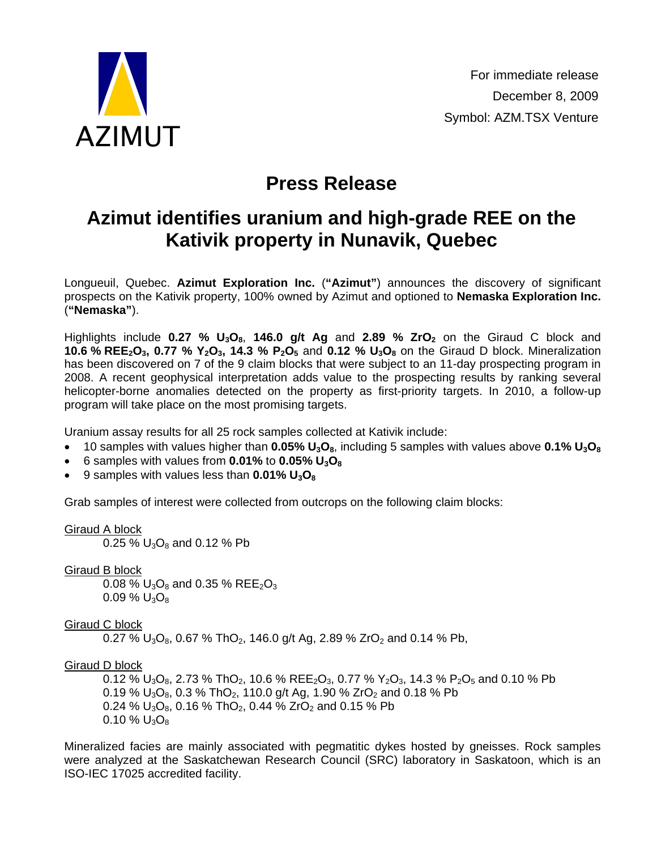

## **Press Release**

## **Azimut identifies uranium and high-grade REE on the Kativik property in Nunavik, Quebec**

Longueuil, Quebec. **Azimut Exploration Inc.** (**"Azimut"**) announces the discovery of significant prospects on the Kativik property, 100% owned by Azimut and optioned to **Nemaska Exploration Inc.** (**"Nemaska"**).

Highlights include **0.27** % U<sub>3</sub>O<sub>8</sub>, 146.0 g/t Ag and 2.89 % ZrO<sub>2</sub> on the Giraud C block and **10.6 % REE<sub>2</sub>O<sub>3</sub>, 0.77 % Y<sub>2</sub>O<sub>3</sub>, 14.3 % P<sub>2</sub>O<sub>5</sub> and <b>0.12 % U<sub>3</sub>O<sub>8</sub>** on the Giraud D block. Mineralization has been discovered on 7 of the 9 claim blocks that were subject to an 11-day prospecting program in 2008. A recent geophysical interpretation adds value to the prospecting results by ranking several helicopter-borne anomalies detected on the property as first-priority targets. In 2010, a follow-up program will take place on the most promising targets.

Uranium assay results for all 25 rock samples collected at Kativik include:

- 10 samples with values higher than **0.05% U3O8**, including 5 samples with values above **0.1% U3O8**
- 6 samples with values from **0.01%** to **0.05% U3O8**
- 9 samples with values less than **0.01% U3O8**

Grab samples of interest were collected from outcrops on the following claim blocks:

Giraud A block

0.25 %  $U_3O_8$  and 0.12 % Pb

Giraud B block

0.08 %  $U_3O_8$  and 0.35 % REE<sub>2</sub>O<sub>3</sub>  $0.09\%$  U<sub>3</sub>O<sub>8</sub>

Giraud C block

0.27 %  $U_3O_8$ , 0.67 % ThO<sub>2</sub>, 146.0 g/t Ag, 2.89 % ZrO<sub>2</sub> and 0.14 % Pb,

Giraud D block

0.12 %  $U_3O_8$ , 2.73 % ThO<sub>2</sub>, 10.6 % REE<sub>2</sub>O<sub>3</sub>, 0.77 % Y<sub>2</sub>O<sub>3</sub>, 14.3 % P<sub>2</sub>O<sub>5</sub> and 0.10 % Pb 0.19 %  $U_3O_8$ , 0.3 % ThO<sub>2</sub>, 110.0 g/t Ag, 1.90 % ZrO<sub>2</sub> and 0.18 % Pb 0.24 %  $U_3O_8$ , 0.16 % ThO<sub>2</sub>, 0.44 % ZrO<sub>2</sub> and 0.15 % Pb 0.10 %  $U_3O_8$ 

Mineralized facies are mainly associated with pegmatitic dykes hosted by gneisses. Rock samples were analyzed at the Saskatchewan Research Council (SRC) laboratory in Saskatoon, which is an ISO-IEC 17025 accredited facility.